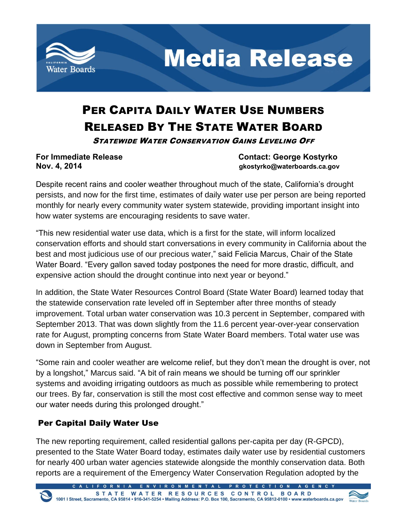

## PER CAPITA DAILY WATER USE NUMBERS RELEASED BY THE STATE WATER BOARD

STATEWIDE WATER CONSERVATION GAINS LEVELING OFF

**For Immediate Release Contact: George Kostyrko Nov. 4, 2014 gkostyrko@waterboards.ca.gov**

Despite recent rains and cooler weather throughout much of the state, California's drought persists, and now for the first time, estimates of daily water use per person are being reported monthly for nearly every community water system statewide, providing important insight into how water systems are encouraging residents to save water.

"This new residential water use data, which is a first for the state, will inform localized conservation efforts and should start conversations in every community in California about the best and most judicious use of our precious water," said Felicia Marcus, Chair of the State Water Board. "Every gallon saved today postpones the need for more drastic, difficult, and expensive action should the drought continue into next year or beyond."

In addition, the State Water Resources Control Board (State Water Board) learned today that the statewide conservation rate leveled off in September after three months of steady improvement. Total urban water conservation was 10.3 percent in September, compared with September 2013. That was down slightly from the 11.6 percent year-over-year conservation rate for August, prompting concerns from State Water Board members. Total water use was down in September from August.

"Some rain and cooler weather are welcome relief, but they don't mean the drought is over, not by a longshot," Marcus said. "A bit of rain means we should be turning off our sprinkler systems and avoiding irrigating outdoors as much as possible while remembering to protect our trees. By far, conservation is still the most cost effective and common sense way to meet our water needs during this prolonged drought."

## Per Capital Daily Water Use

The new reporting requirement, called residential gallons per-capita per day (R-GPCD), presented to the State Water Board today, estimates daily water use by residential customers for nearly 400 urban water agencies statewide alongside the monthly conservation data. Both reports are a requirement of the Emergency Water Conservation Regulation adopted by the

LIFORNIA ENVIRONMENTAL PROTECTION AGE

STATE WATER RESOURCES CONTROL BOARD<br>1001 | Street, Sacramento, CA 95814 • 916-341-5254 • Mailing Address: P.O. Box 100, Sacramento, CA 95812-0100 • www.waterboards.ca.gov

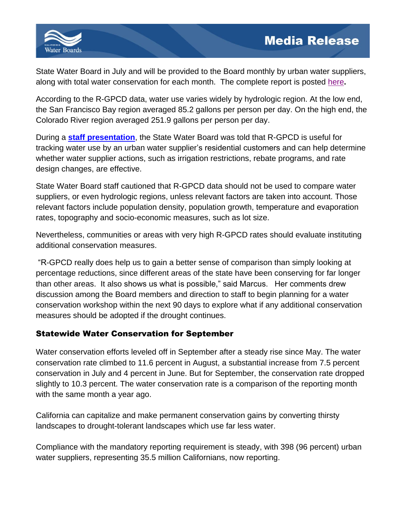

State Water Board in July and will be provided to the Board monthly by urban water suppliers, along with total water conservation for each month. The complete report is posted [here](http://www.waterboards.ca.gov/waterrights/water_issues/programs/drought/conservation_reporting_info.shtml)**.**

According to the R-GPCD data, water use varies widely by hydrologic region. At the low end, the San Francisco Bay region averaged 85.2 gallons per person per day. On the high end, the Colorado River region averaged 251.9 gallons per person per day.

During a **[staff presentation](http://www.waterboards.ca.gov/waterrights/water_issues/programs/drought/docs/emergency_regulations/uwc_pres110414_item6.pdf)**, the State Water Board was told that R-GPCD is useful for tracking water use by an urban water supplier's residential customers and can help determine whether water supplier actions, such as irrigation restrictions, rebate programs, and rate design changes, are effective.

State Water Board staff cautioned that R-GPCD data should not be used to compare water suppliers, or even hydrologic regions, unless relevant factors are taken into account. Those relevant factors include population density, population growth, temperature and evaporation rates, topography and socio-economic measures, such as lot size.

Nevertheless, communities or areas with very high R-GPCD rates should evaluate instituting additional conservation measures.

"R-GPCD really does help us to gain a better sense of comparison than simply looking at percentage reductions, since different areas of the state have been conserving for far longer than other areas. It also shows us what is possible," said Marcus. Her comments drew discussion among the Board members and direction to staff to begin planning for a water conservation workshop within the next 90 days to explore what if any additional conservation measures should be adopted if the drought continues.

## Statewide Water Conservation for September

Water conservation efforts leveled off in September after a steady rise since May. The water conservation rate climbed to 11.6 percent in August, a substantial increase from 7.5 percent conservation in July and 4 percent in June. But for September, the conservation rate dropped slightly to 10.3 percent. The water conservation rate is a comparison of the reporting month with the same month a year ago.

California can capitalize and make permanent conservation gains by converting thirsty landscapes to drought-tolerant landscapes which use far less water.

Compliance with the mandatory reporting requirement is steady, with 398 (96 percent) urban water suppliers, representing 35.5 million Californians, now reporting.